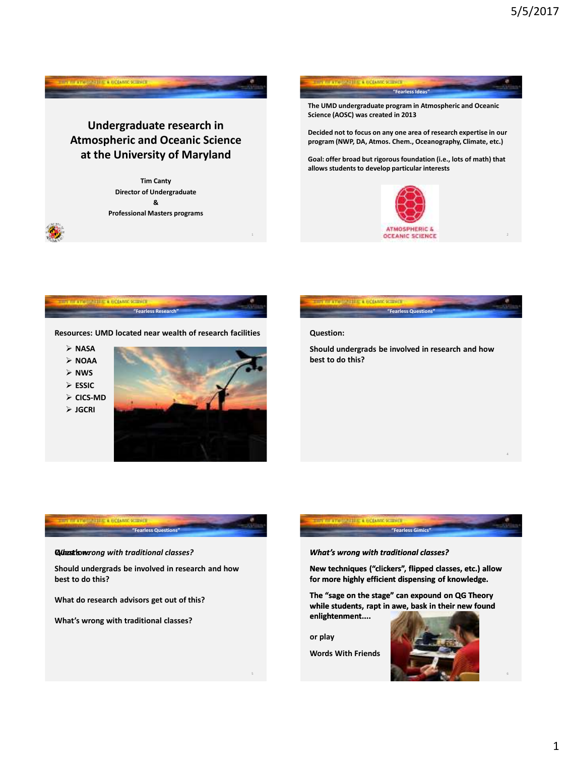

**THE REPORTED A COUNTY SCIENCE** 

**Words With Friends**

**CONSTITUTE A REGARDE SCIENC** 



6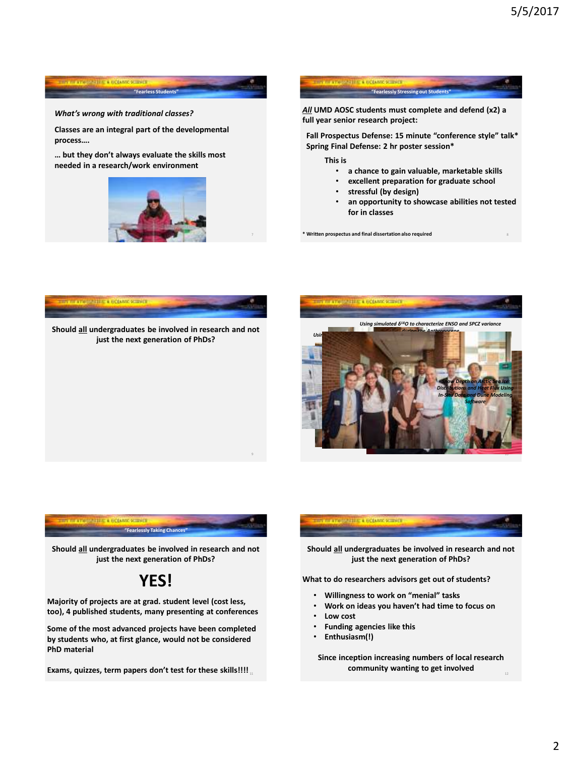8



## *What's wrong with traditional classes?*

**Classes are an integral part of the developmental process….** 

**… but they don't always evaluate the skills most needed in a research/work environment**





**Fall Prospectus Defense: 15 minute "conference style" talk\* Spring Final Defense: 2 hr poster session\***

**This is**

- **a chance to gain valuable, marketable skills**
- **excellent preparation for graduate school**
- **stressful (by design)**
- **an opportunity to showcase abilities not tested for in classes**

**\* Written prospectus and final dissertation also required**







**Should all undergraduates be involved in research and not just the next generation of PhDs?**

## **YES!**

**Majority of projects are at grad. student level (cost less, too), 4 published students, many presenting at conferences**

**Some of the most advanced projects have been completed by students who, at first glance, would not be considered PhD material**

11 **Exams, quizzes, term papers don't test for these skills!!!!**

## **CONSTRUCTION CONTRACTOR**

**Should all undergraduates be involved in research and not just the next generation of PhDs?**

**What to do researchers advisors get out of students?**

- **Willingness to work on "menial" tasks**
- **Work on ideas you haven't had time to focus on**
- **Low cost**
- **Funding agencies like this**
- **Enthusiasm(!)**

**Since inception increasing numbers of local research community wanting to get involved**